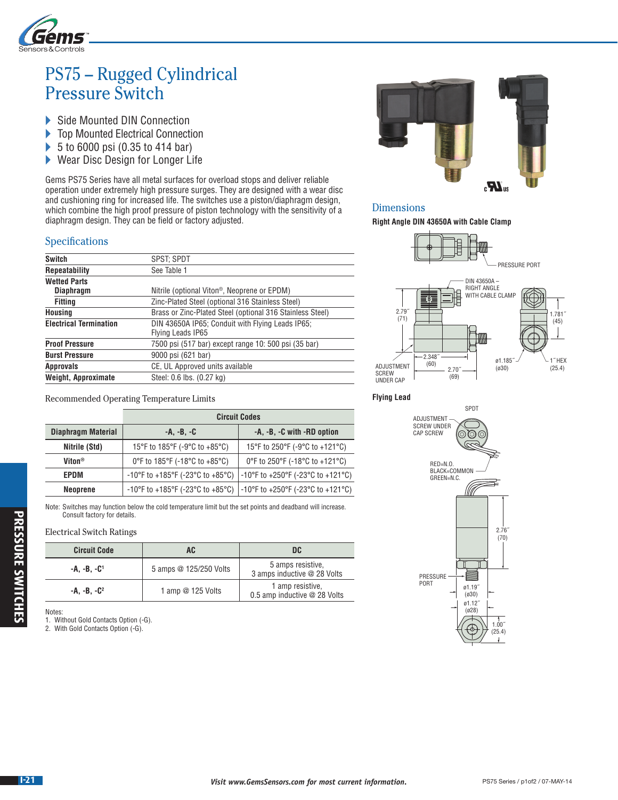

# PS75 – Rugged Cylindrical Pressure Switch

- Side Mounted DIN Connection<br>
Solomounted Electrical Connect
- Top Mounted Electrical Connection
- ▶ 5 to 6000 psi (0.35 to 414 bar)
- ▶ Wear Disc Design for Longer Life

Gems PS75 Series have all metal surfaces for overload stops and deliver reliable operation under extremely high pressure surges. They are designed with a wear disc and cushioning ring for increased life. The switches use a piston/diaphragm design, which combine the high proof pressure of piston technology with the sensitivity of a diaphragm design. They can be field or factory adjusted.

## Specifications

| <b>SPST: SPDT</b>                                                                                             |  |
|---------------------------------------------------------------------------------------------------------------|--|
| See Table 1                                                                                                   |  |
|                                                                                                               |  |
| Nitrile (optional Viton <sup>®</sup> , Neoprene or EPDM)                                                      |  |
| Zinc-Plated Steel (optional 316 Stainless Steel)                                                              |  |
| Brass or Zinc-Plated Steel (optional 316 Stainless Steel)                                                     |  |
| DIN 43650A IP65; Conduit with Flying Leads IP65;<br><b>Electrical Termination</b><br><b>Flying Leads IP65</b> |  |
| 7500 psi (517 bar) except range 10: 500 psi (35 bar)                                                          |  |
| 9000 psi (621 bar)                                                                                            |  |
| CE, UL Approved units available                                                                               |  |
| Steel: 0.6 lbs. (0.27 kg)                                                                                     |  |
|                                                                                                               |  |

Recommended Operating Temperature Limits

|                                                 | <b>Circuit Codes</b>                                                      |                                           |  |
|-------------------------------------------------|---------------------------------------------------------------------------|-------------------------------------------|--|
| <b>Diaphragm Material</b>                       | $-A, -B, -C$                                                              | -A, -B, -C with -RD option                |  |
| Nitrile (Std)                                   | 15°F to 185°F (-9°C to +85°C)                                             | 15°F to 250°F (-9°C to +121°C)            |  |
| Viton <sup>®</sup>                              | 0°F to 185°F (-18°C to +85°C)                                             | 0°F to 250°F (-18°C to +121°C)            |  |
| -10°F to +185°F (-23°C to +85°C)<br><b>EPDM</b> |                                                                           | -10°F to +250°F (-23°C to +121°C)         |  |
| <b>Neoprene</b>                                 | $-10^{\circ}$ F to $+185^{\circ}$ F ( $-23^{\circ}$ C to $+85^{\circ}$ C) | $\vert$ -10°F to +250°F (-23°C to +121°C) |  |

Note: Switches may function below the cold temperature limit but the set points and deadband will increase. Consult factory for details.

#### Electrical Switch Ratings

| <b>Circuit Code</b><br>AC |                        | DC.                                              |
|---------------------------|------------------------|--------------------------------------------------|
| -A. -B. -C <sup>1</sup>   | 5 amps @ 125/250 Volts | 5 amps resistive.<br>3 amps inductive @ 28 Volts |
| $-A. -B. -C^2$            | 1 amp $@$ 125 Volts    | 1 amp resistive.<br>0.5 amp inductive @ 28 Volts |

Notes:

1. Without Gold Contacts Option (-G).

2. With Gold Contacts Option (-G).



## Dimensions

**Right Angle DIN 43650A with Cable Clamp**



**Flying Lead**